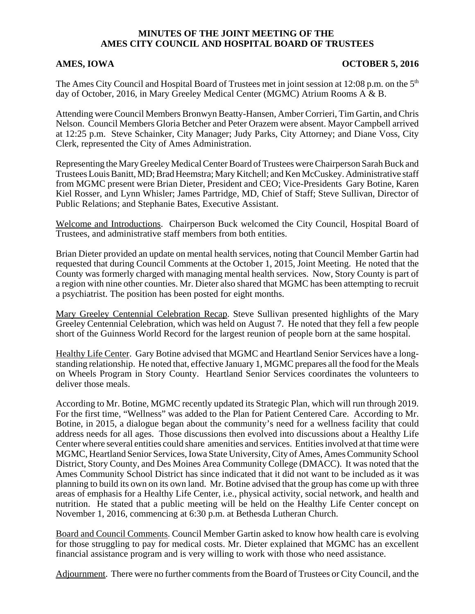## **MINUTES OF THE JOINT MEETING OF THE AMES CITY COUNCIL AND HOSPITAL BOARD OF TRUSTEES**

## AMES, IOWA **OCTOBER 5, 2016**

The Ames City Council and Hospital Board of Trustees met in joint session at 12:08 p.m. on the 5<sup>th</sup> day of October, 2016, in Mary Greeley Medical Center (MGMC) Atrium Rooms A & B.

Attending were Council Members Bronwyn Beatty-Hansen, Amber Corrieri, Tim Gartin, and Chris Nelson. Council Members Gloria Betcher and Peter Orazem were absent. Mayor Campbell arrived at 12:25 p.m. Steve Schainker, City Manager; Judy Parks, City Attorney; and Diane Voss, City Clerk, represented the City of Ames Administration.

Representing the Mary Greeley Medical Center Board of Trustees were Chairperson Sarah Buck and Trustees Louis Banitt, MD; Brad Heemstra; Mary Kitchell; and Ken McCuskey. Administrative staff from MGMC present were Brian Dieter, President and CEO; Vice-Presidents Gary Botine, Karen Kiel Rosser, and Lynn Whisler; James Partridge, MD, Chief of Staff; Steve Sullivan, Director of Public Relations; and Stephanie Bates, Executive Assistant.

Welcome and Introductions. Chairperson Buck welcomed the City Council, Hospital Board of Trustees, and administrative staff members from both entities.

Brian Dieter provided an update on mental health services, noting that Council Member Gartin had requested that during Council Comments at the October 1, 2015, Joint Meeting. He noted that the County was formerly charged with managing mental health services. Now, Story County is part of a region with nine other counties. Mr. Dieter also shared that MGMC has been attempting to recruit a psychiatrist. The position has been posted for eight months.

Mary Greeley Centennial Celebration Recap. Steve Sullivan presented highlights of the Mary Greeley Centennial Celebration, which was held on August 7. He noted that they fell a few people short of the Guinness World Record for the largest reunion of people born at the same hospital.

Healthy Life Center. Gary Botine advised that MGMC and Heartland Senior Services have a longstanding relationship. He noted that, effective January 1, MGMC prepares all the food for the Meals on Wheels Program in Story County. Heartland Senior Services coordinates the volunteers to deliver those meals.

According to Mr. Botine, MGMC recently updated its Strategic Plan, which will run through 2019. For the first time, "Wellness" was added to the Plan for Patient Centered Care. According to Mr. Botine, in 2015, a dialogue began about the community's need for a wellness facility that could address needs for all ages. Those discussions then evolved into discussions about a Healthy Life Center where several entities could share amenities and services. Entities involved at that time were MGMC, Heartland Senior Services, Iowa State University, City of Ames, Ames Community School District, Story County, and Des Moines Area Community College (DMACC). It was noted that the Ames Community School District has since indicated that it did not want to be included as it was planning to build its own on its own land. Mr. Botine advised that the group has come up with three areas of emphasis for a Healthy Life Center, i.e., physical activity, social network, and health and nutrition. He stated that a public meeting will be held on the Healthy Life Center concept on November 1, 2016, commencing at 6:30 p.m. at Bethesda Lutheran Church.

Board and Council Comments. Council Member Gartin asked to know how health care is evolving for those struggling to pay for medical costs. Mr. Dieter explained that MGMC has an excellent financial assistance program and is very willing to work with those who need assistance.

Adjournment. There were no further comments from the Board of Trustees or City Council, and the